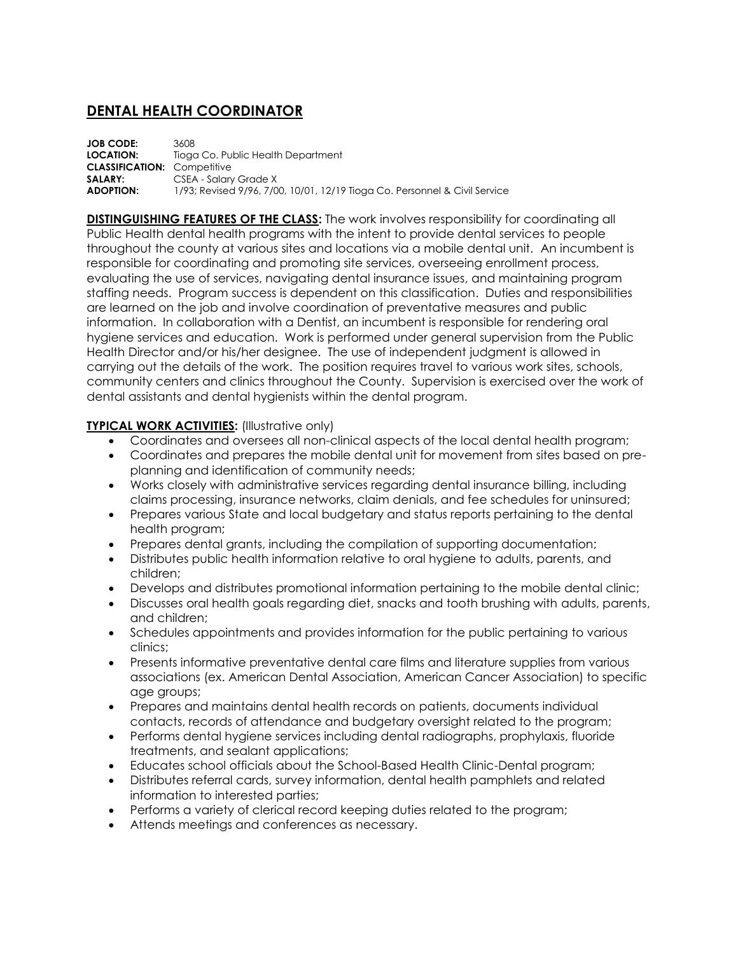## **DENTAL HEALTH COORDINATOR**

**JOB CODE:** 3608 **LOCATION:** Tioga Co. Public Health Department **CLASSIFICATION:** Competitive **SALARY:** CSEA - Salary Grade X **ADOPTION:** 1/93; Revised 9/96, 7/00, 10/01, 12/19 Tioga Co. Personnel & Civil Service

**DISTINGUISHING FEATURES OF THE CLASS:** The work involves responsibility for coordinating all Public Health dental health programs with the intent to provide dental services to people throughout the county at various sites and locations via a mobile dental unit. An incumbent is responsible for coordinating and promoting site services, overseeing enrollment process, evaluating the use of services, navigating dental insurance issues, and maintaining program staffing needs. Program success is dependent on this classification. Duties and responsibilities are learned on the job and involve coordination of preventative measures and public information. In collaboration with a Dentist, an incumbent is responsible for rendering oral hygiene services and education. Work is performed under general supervision from the Public Health Director and/or his/her designee. The use of independent judgment is allowed in carrying out the details of the work. The position requires travel to various work sites, schools, community centers and clinics throughout the County. Supervision is exercised over the work of dental assistants and dental hygienists within the dental program.

## **TYPICAL WORK ACTIVITIES:** (Illustrative only)

- Coordinates and oversees all non-clinical aspects of the local dental health program;
- Coordinates and prepares the mobile dental unit for movement from sites based on preplanning and identification of community needs;
- Works closely with administrative services regarding dental insurance billing, including claims processing, insurance networks, claim denials, and fee schedules for uninsured;
- Prepares various State and local budgetary and status reports pertaining to the dental health program;
- Prepares dental grants, including the compilation of supporting documentation;
- Distributes public health information relative to oral hygiene to adults, parents, and children;
- Develops and distributes promotional information pertaining to the mobile dental clinic;
- Discusses oral health goals regarding diet, snacks and tooth brushing with adults, parents, and children;
- Schedules appointments and provides information for the public pertaining to various clinics;
- Presents informative preventative dental care films and literature supplies from various associations (ex. American Dental Association, American Cancer Association) to specific age groups;
- Prepares and maintains dental health records on patients, documents individual contacts, records of attendance and budgetary oversight related to the program;
- Performs dental hygiene services including dental radiographs, prophylaxis, fluoride treatments, and sealant applications;
- Educates school officials about the School-Based Health Clinic-Dental program;
- Distributes referral cards, survey information, dental health pamphlets and related information to interested parties;
- Performs a variety of clerical record keeping duties related to the program;
- Attends meetings and conferences as necessary.